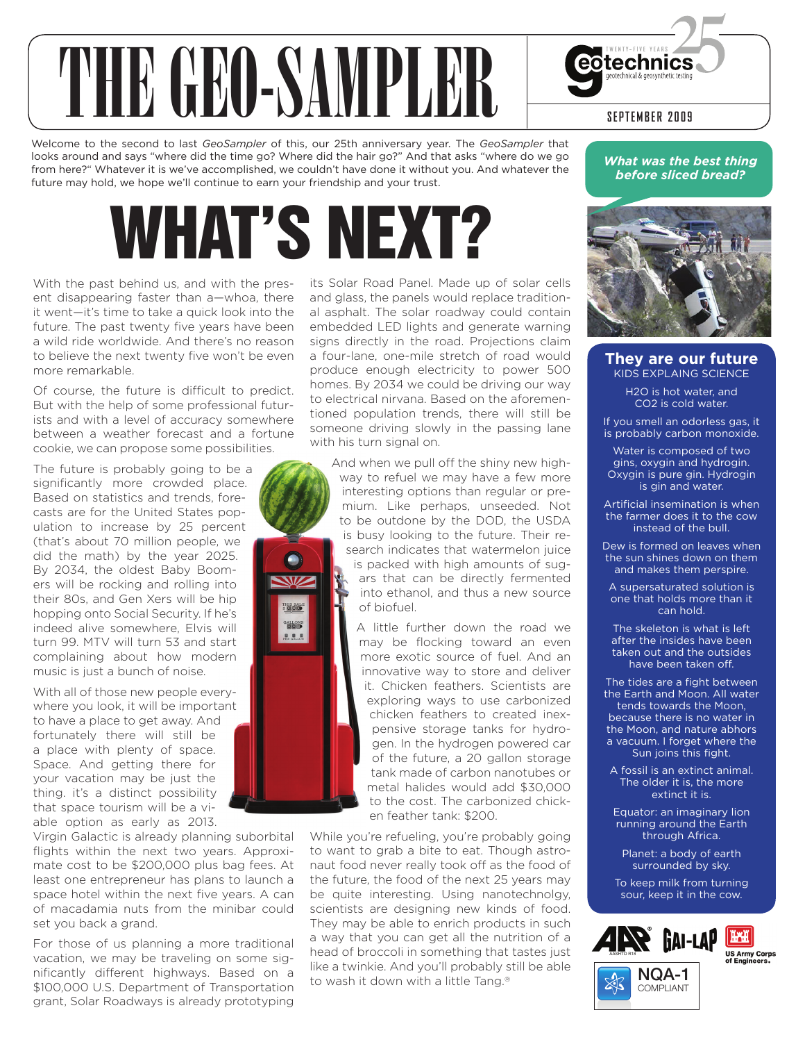# THE GLO SAMPLER SEPTEMBER 2009

Welcome to the second to last *GeoSampler* of this, our 25th anniversary year. The *GeoSampler* that looks around and says "where did the time go? Where did the hair go?" And that asks "where do we go from here?" Whatever it is we've accomplished, we couldn't have done it without you. And whatever the future may hold, we hope we'll continue to earn your friendship and your trust.

## WHAT'S NEXT?

THIS SALE<br>\$**0.000 BALLONS**  $0.0.0$ 

With the past behind us, and with the present disappearing faster than a—whoa, there it went—it's time to take a quick look into the future. The past twenty five years have been a wild ride worldwide. And there's no reason to believe the next twenty five won't be even more remarkable.

Of course, the future is difficult to predict. But with the help of some professional futurists and with a level of accuracy somewhere between a weather forecast and a fortune cookie, we can propose some possibilities.

The future is probably going to be a significantly more crowded place. Based on statistics and trends, forecasts are for the United States population to increase by 25 percent (that's about 70 million people, we did the math) by the year 2025. By 2034, the oldest Baby Boomers will be rocking and rolling into their 80s, and Gen Xers will be hip hopping onto Social Security. If he's indeed alive somewhere, Elvis will turn 99. MTV will turn 53 and start complaining about how modern music is just a bunch of noise.

With all of those new people everywhere you look, it will be important to have a place to get away. And fortunately there will still be a place with plenty of space. Space. And getting there for your vacation may be just the thing. it's a distinct possibility that space tourism will be a viable option as early as 2013.

Virgin Galactic is already planning suborbital flights within the next two years. Approximate cost to be \$200,000 plus bag fees. At least one entrepreneur has plans to launch a space hotel within the next five years. A can of macadamia nuts from the minibar could set you back a grand.

For those of us planning a more traditional vacation, we may be traveling on some significantly different highways. Based on a \$100,000 U.S. Department of Transportation grant, Solar Roadways is already prototyping

its Solar Road Panel. Made up of solar cells and glass, the panels would replace traditional asphalt. The solar roadway could contain embedded LED lights and generate warning signs directly in the road. Projections claim a four-lane, one-mile stretch of road would produce enough electricity to power 500 homes. By 2034 we could be driving our way to electrical nirvana. Based on the aforementioned population trends, there will still be someone driving slowly in the passing lane with his turn signal on.

And when we pull off the shiny new highway to refuel we may have a few more interesting options than regular or premium. Like perhaps, unseeded. Not to be outdone by the DOD, the USDA is busy looking to the future. Their research indicates that watermelon juice is packed with high amounts of sugars that can be directly fermented into ethanol, and thus a new source of biofuel. A little further down the road we

may be flocking toward an even more exotic source of fuel. And an innovative way to store and deliver it. Chicken feathers. Scientists are exploring ways to use carbonized chicken feathers to created inexpensive storage tanks for hydrogen. In the hydrogen powered car of the future, a 20 gallon storage tank made of carbon nanotubes or metal halides would add \$30,000 to the cost. The carbonized chicken feather tank: \$200.

While you're refueling, you're probably going to want to grab a bite to eat. Though astronaut food never really took off as the food of the future, the food of the next 25 years may be quite interesting. Using nanotechnolgy, scientists are designing new kinds of food. They may be able to enrich products in such a way that you can get all the nutrition of a head of broccoli in something that tastes just like a twinkie. And you'll probably still be able to wash it down with a little Tang.®

*What was the best thing before sliced bread?*



#### **They are our future** kids explaing Science

H2O is hot water, and CO2 is cold water.

If you smell an odorless gas, it is probably carbon monoxide.

Water is composed of two gins, oxygin and hydrogin. Oxygin is pure gin. Hydrogin is gin and water.

Artificial insemination is when the farmer does it to the cow instead of the bull.

Dew is formed on leaves when the sun shines down on them and makes them perspire.

A supersaturated solution is one that holds more than it can hold.

The skeleton is what is left after the insides have been taken out and the outsides have been taken off.

The tides are a fight between the Earth and Moon. All water tends towards the Moon, because there is no water in the Moon, and nature abhors a vacuum. I forget where the Sun joins this fight.

A fossil is an extinct animal. The older it is, the more extinct it is.

Equator: an imaginary lion running around the Earth through Africa.

Planet: a body of earth surrounded by sky.

To keep milk from turning sour, keep it in the cow.